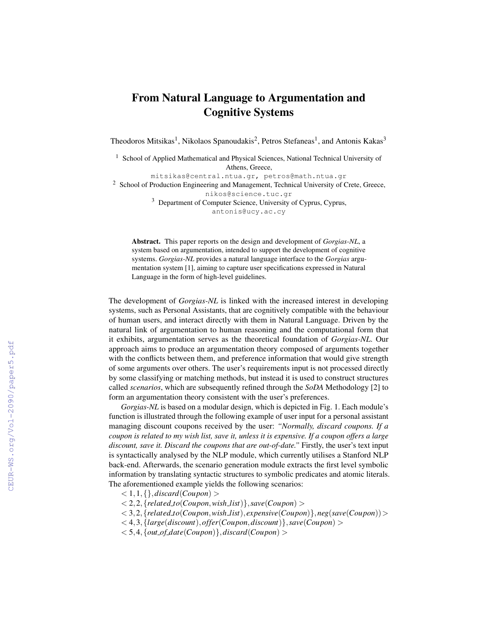## From Natural Language to Argumentation and Cognitive Systems

Theodoros Mitsikas<sup>1</sup>, Nikolaos Spanoudakis<sup>2</sup>, Petros Stefaneas<sup>1</sup>, and Antonis Kakas<sup>3</sup>

<sup>1</sup> School of Applied Mathematical and Physical Sciences, National Technical University of Athens, Greece,

mitsikas@central.ntua.gr, petros@math.ntua.gr <sup>2</sup> School of Production Engineering and Management, Technical University of Crete, Greece,

nikos@science.tuc.gr

<sup>3</sup> Department of Computer Science, University of Cyprus, Cyprus, antonis@ucy.ac.cy

Abstract. This paper reports on the design and development of *Gorgias-NL*, a system based on argumentation, intended to support the development of cognitive systems. *Gorgias-NL* provides a natural language interface to the *Gorgias* argumentation system [1], aiming to capture user specifications expressed in Natural Language in the form of high-level guidelines.

The development of *Gorgias-NL* is linked with the increased interest in developing systems, such as Personal Assistants, that are cognitively compatible with the behaviour of human users, and interact directly with them in Natural Language. Driven by the natural link of argumentation to human reasoning and the computational form that it exhibits, argumentation serves as the theoretical foundation of *Gorgias-NL*. Our approach aims to produce an argumentation theory composed of arguments together with the conflicts between them, and preference information that would give strength of some arguments over others. The user's requirements input is not processed directly by some classifying or matching methods, but instead it is used to construct structures called *scenarios*, which are subsequently refined through the *SoDA* Methodology [2] to form an argumentation theory consistent with the user's preferences.

*Gorgias-NL* is based on a modular design, which is depicted in Fig. 1. Each module's function is illustrated through the following example of user input for a personal assistant managing discount coupons received by the user: *"Normally, discard coupons. If a coupon is related to my wish list, save it, unless it is expensive. If a coupon offers a large discount, save it. Discard the coupons that are out-of-date."* Firstly, the user's text input is syntactically analysed by the NLP module, which currently utilises a Stanford NLP back-end. Afterwards, the scenario generation module extracts the first level symbolic information by translating syntactic structures to symbolic predicates and atomic literals. The aforementioned example yields the following scenarios:

- $< 1, 1, \{\}, discard(Coupon) >$
- $<$  2, 2,  $\{related_to(Coupon, wish_list)\}, save(Coupon) >$
- < 3,2,{*related to*(*Coupon*,*wish list*), *expensive*(*Coupon*)},*neg*(*save*(*Coupon*))>
- < 4,3,{*large*(*discount*),*offer*(*Coupon*,*discount*)},*save*(*Coupon*) >
- $<$  5,4, {*out\_of\_date*(*Coupon*)},*discard*(*Coupon*) >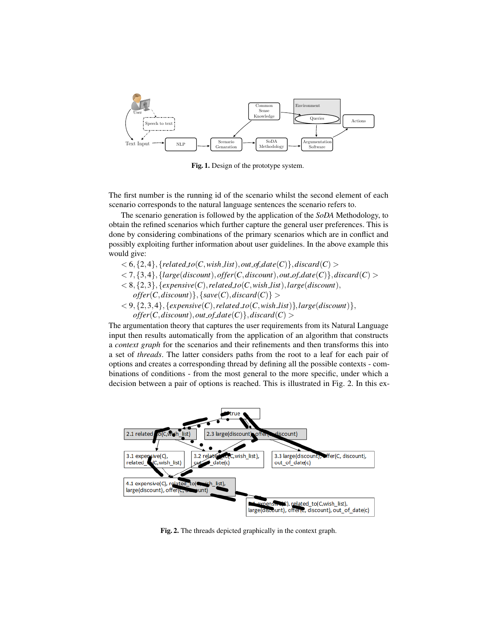

Fig. 1. Design of the prototype system.

The first number is the running id of the scenario whilst the second element of each scenario corresponds to the natural language sentences the scenario refers to.

The scenario generation is followed by the application of the *SoDA* Methodology, to obtain the refined scenarios which further capture the general user preferences. This is done by considering combinations of the primary scenarios which are in conflict and possibly exploiting further information about user guidelines. In the above example this would give:

- $<$  6, {2, 4}, {*related\_to*(*C*,*wish\_list*), *out\_of\_date*(*C*)}, *discard*(*C*) >
- $<$  7, {3,4}, {*large*(*discount*), *offer*(*C*,*discount*), *out\_of\_date*(*C*)}, *discard*(*C*) >
- $< 8, {2, 3}, {exposure(C), related_to(C, wishList), large(discount),}$ 
	- $offer(C, discount)$ , { $save(C), discard(C)$ } >
- $<$  9, {2, 3, 4}, {*expensive*(*C*), *related*  $\text{to}(C, \text{wish\_list})$ }, *large*(*discount*)},  $of$ *fer*(*C*,*discount*),*out\_of\_date*(*C*)},*discard*(*C*) >

The argumentation theory that captures the user requirements from its Natural Language input then results automatically from the application of an algorithm that constructs a *context graph* for the scenarios and their refinements and then transforms this into a set of *threads*. The latter considers paths from the root to a leaf for each pair of options and creates a corresponding thread by defining all the possible contexts - combinations of conditions - from the most general to the more specific, under which a decision between a pair of options is reached. This is illustrated in Fig. 2. In this ex-



Fig. 2. The threads depicted graphically in the context graph.